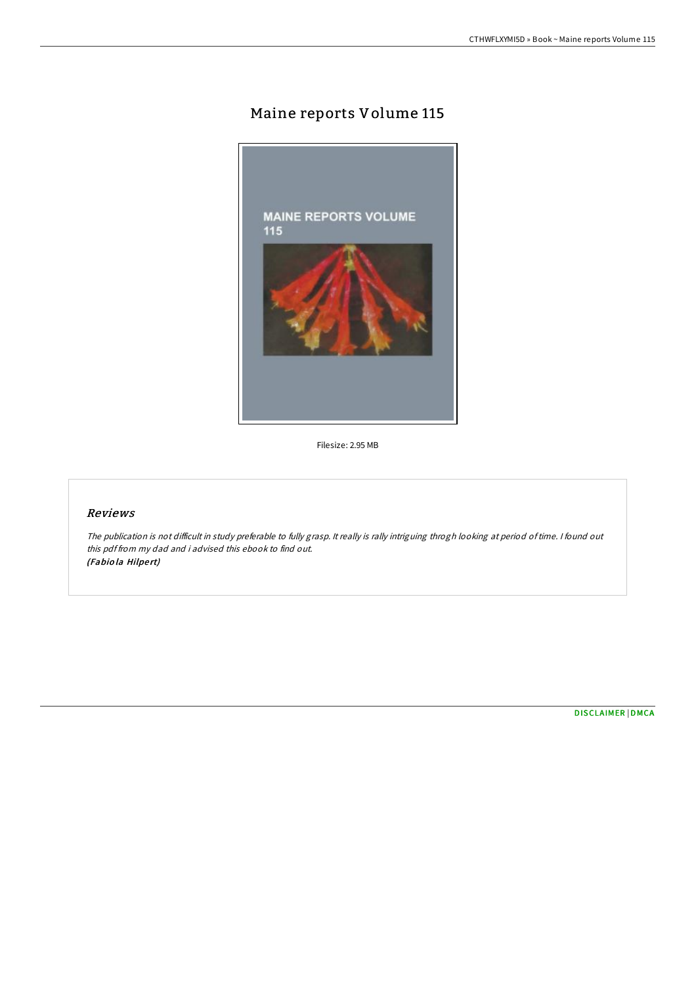## Maine reports Volume 115



Filesize: 2.95 MB

## Reviews

The publication is not difficult in study preferable to fully grasp. It really is rally intriguing throgh looking at period of time. I found out this pdf from my dad and i advised this ebook to find out. (Fabiola Hilpert)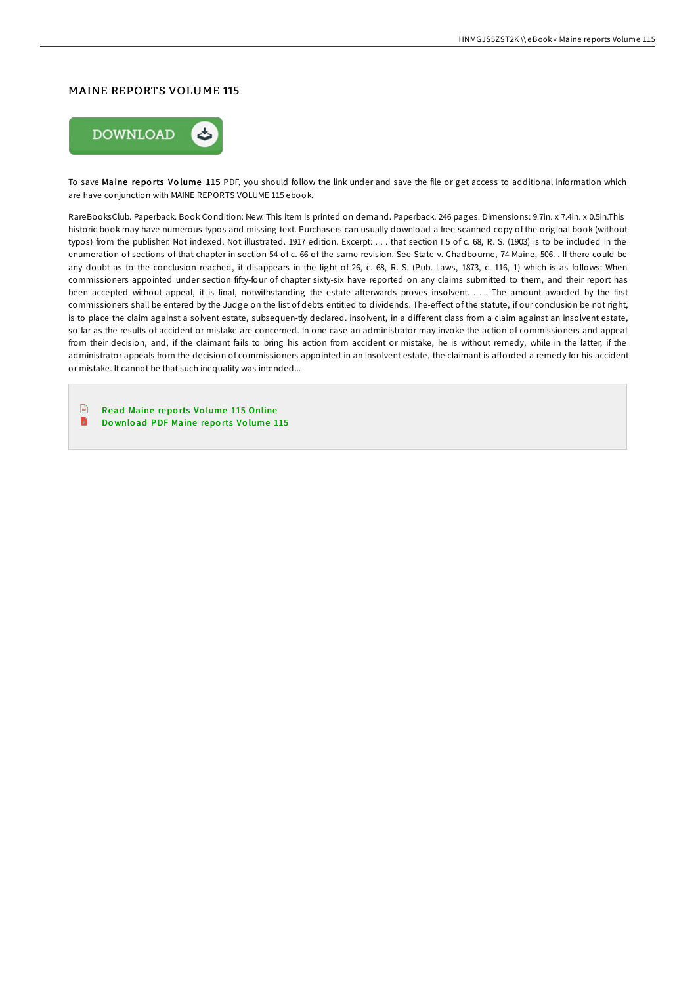## MAINE REPORTS VOLUME 115



To save Maine reports Volume 115 PDF, you should follow the link under and save the file or get access to additional information which are have conjunction with MAINE REPORTS VOLUME 115 ebook.

RareBooksClub. Paperback. Book Condition: New. This item is printed on demand. Paperback. 246 pages. Dimensions: 9.7in. x 7.4in. x 0.5in.This historic book may have numerous typos and missing text. Purchasers can usually download a free scanned copy of the original book (without typos) from the publisher. Not indexed. Not illustrated. 1917 edition. Excerpt: . . . that section I 5 of c. 68, R. S. (1903) is to be included in the enumeration of sections of that chapter in section 54 of c. 66 of the same revision. See State v. Chadbourne, 74 Maine, 506. . If there could be any doubt as to the conclusion reached, it disappears in the light of 26, c. 68, R. S. (Pub. Laws, 1873, c. 116, 1) which is as follows: When commissioners appointed under section fiHy-four of chapter sixty-six have reported on any claims submitted to them, and their report has been accepted without appeal, it is final, notwithstanding the estate afterwards proves insolvent. . . . The amount awarded by the first commissioners shall be entered by the Judge on the list of debts entitled to dividends. The-effect of the statute, if our conclusion be not right, is to place the claim against a solvent estate, subsequen-tly declared. insolvent, in a different class from a claim against an insolvent estate, so far as the results of accident or mistake are concerned. In one case an administrator may invoke the action of commissioners and appeal from their decision, and, if the claimant fails to bring his action from accident or mistake, he is without remedy, while in the latter, if the administrator appeals from the decision of commissioners appointed in an insolvent estate, the claimant is afforded a remedy for his accident or mistake. It cannot be that such inequality was intended...

 $\sqrt{100}$ Read Maine repo rts Vo lume 115 [Online](http://almighty24.tech/maine-reports-volume-115.html) E Download PDF [Maine](http://almighty24.tech/maine-reports-volume-115.html) reports Volume 115